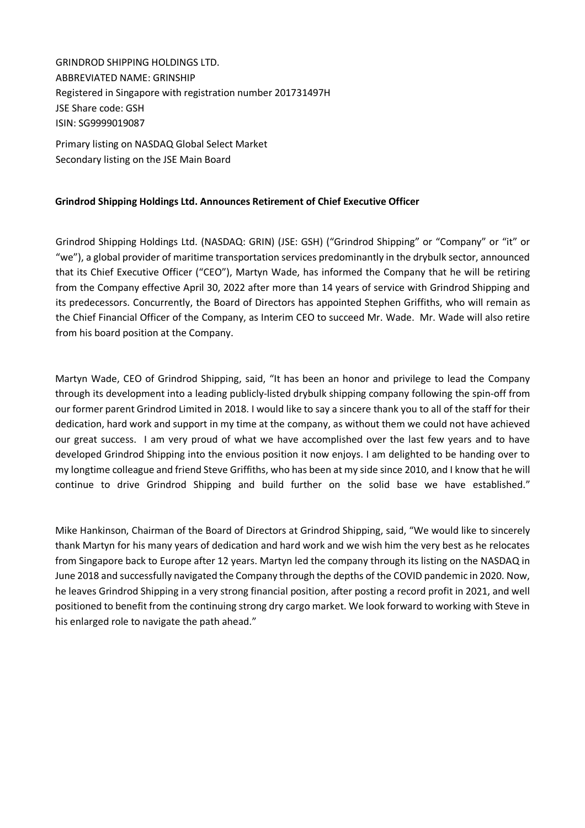GRINDROD SHIPPING HOLDINGS LTD. ABBREVIATED NAME: GRINSHIP Registered in Singapore with registration number 201731497H JSE Share code: GSH ISIN: SG9999019087

Primary listing on NASDAQ Global Select Market Secondary listing on the JSE Main Board

## **Grindrod Shipping Holdings Ltd. Announces Retirement of Chief Executive Officer**

Grindrod Shipping Holdings Ltd. (NASDAQ: GRIN) (JSE: GSH) ("Grindrod Shipping" or "Company" or "it" or "we"), a global provider of maritime transportation services predominantly in the drybulk sector, announced that its Chief Executive Officer ("CEO"), Martyn Wade, has informed the Company that he will be retiring from the Company effective April 30, 2022 after more than 14 years of service with Grindrod Shipping and its predecessors. Concurrently, the Board of Directors has appointed Stephen Griffiths, who will remain as the Chief Financial Officer of the Company, as Interim CEO to succeed Mr. Wade. Mr. Wade will also retire from his board position at the Company.

Martyn Wade, CEO of Grindrod Shipping, said, "It has been an honor and privilege to lead the Company through its development into a leading publicly-listed drybulk shipping company following the spin-off from our former parent Grindrod Limited in 2018. I would like to say a sincere thank you to all of the staff for their dedication, hard work and support in my time at the company, as without them we could not have achieved our great success. I am very proud of what we have accomplished over the last few years and to have developed Grindrod Shipping into the envious position it now enjoys. I am delighted to be handing over to my longtime colleague and friend Steve Griffiths, who has been at my side since 2010, and I know that he will continue to drive Grindrod Shipping and build further on the solid base we have established."

Mike Hankinson, Chairman of the Board of Directors at Grindrod Shipping, said, "We would like to sincerely thank Martyn for his many years of dedication and hard work and we wish him the very best as he relocates from Singapore back to Europe after 12 years. Martyn led the company through its listing on the NASDAQ in June 2018 and successfully navigated the Company through the depths of the COVID pandemic in 2020. Now, he leaves Grindrod Shipping in a very strong financial position, after posting a record profit in 2021, and well positioned to benefit from the continuing strong dry cargo market. We look forward to working with Steve in his enlarged role to navigate the path ahead."